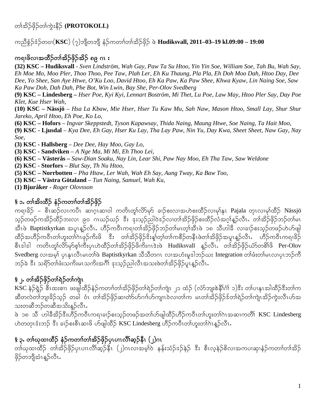တ<sup>ှ</sup>ကြွှိပြို့တို့ကဲ့းနိ**် (PROTOKOLL**)

#### ကညီစွံဉ်ဒံဉ်တဝၢ $(KSC)$  (၇)ဘျိတဘျိ နံဉ်ကတၢၤ်တၤ်အိဉ်ဖိုဉ် ဖဲ **Hudiksvall, 2011–03–19 kl.09:00 – 19:00**

#### ကရၢဖိလၢအထိဉ်တၢ်အိဉ်ဖိုဉ်အိဉ် ၈၉ ဂၤ း

**(32) KSC – Hudiksvall** - *Sven Lindström, Wah Gay, Paw Ta Su Htoo, Yin Yin Soe, William Soe, Tah Bu, Wah Say, Eh Moe Mo, Moo Pler, Thoo Thoo, Pee Taw, Plah Ler, Eh Ku Thaung, Pla Pla, Eh Doh Moo Dah, Htoo Day, Dee Dee, Yo Shee, San Aye Htwe, O'Ku Loo, David Htoo, Eh Ka Paw, Ka Paw Shee, Khwa Kyaw, Lin Naing Soe, Saw Ka Paw Doh, Dah Dah, Phe Bot, Win Lwin, Bay She, Per-Olov Svedberg*

**(9) KSC – Lindesberg –** *Hser Poe, Kyi Kyi, Lennart Boström, Mi Thet, Lu Poe, Law May, Htoo Pler Say, Day Poe Klet, Kue Hser Wah,* 

**(10) KSC – Nässjö** – *Hsa La Kbaw, Mie Hser, Hser Tu Kaw Mu, Sah Naw, Mason Htoo, Small Lay, Shur Shur Jareko, April Htoo, Eh Poe, Ko Lo,* 

**(6) KSC – Hofors** – *Ingvar Skeppstedt, Tyson Kapawsay, Thida Naing, Maung Htwe, Soe Naing, Ta Hait Moo,* 

**(9) KSC - Ljusdal** – *Kya Dee, Eh Gay, Hser Ku Lay, Tha Lay Paw, Nin Yu, Day Kwa, Sheet Sheet, Naw Gay, Nay Soe,* 

**(3) KSC - Hallsberg** – *Dee Dee, Hay Moo, Gay Lo,* 

**(3) KSC - Sandviken** – *A Nge Ma, Mi Mi, Eh Thoo Lei,* 

**(6) KSC – Västerås –** *Saw-Dian Soaku, Nay Lin, Lear Shi, Paw Nay Moo, Eh Tha Taw, Saw Weldone*

**(2) KSC - Storfors** – *Blut Say, Th Nu Htoo,* 

**(5) KSC – Norrbotten** – *Pha Htaw, Ler Wah, Wah Eh Say, Aung Tway, Ka Baw Too,* 

**(3) KSC – Västra Götaland** – *Tun Naing, Samuel, Wah Ku,* 

**(1) Bjuråker -** *Roger Olovsson* 

#### § ၁**.** တ၊်အိးထိဉ် နံဉ်ကတၢၢ်တ၊်အိဉ်ဖိုဉ်

ကရၢခိဉ် – စီၤဆဉ်လၤကပီၤ ဆၢဂ္ၤဆၢဝါ ကတိၤတူၢ်လိ>်မှာ် ခၢဉ်စးလၢအဟဲစးထိဉ်လ၊မုၢ်နုၤ Pajala တုၤလၢမု၊်ထိဉ် Nässjö သ့ဉ်တဖဉ်ကအိဉ်ထိဉ်ဘးလၢ ၉ဝ ဂၤဃဉ်ယဉ် <sup>နွ</sup>ီး ဒုးသ့ဉ်ညါဝဲဒဉ်လ၊တၢ်အိဉ်ဖိုဉ်စးထိဉ်လံအဂ္ဂါနူဉ်လီၤ တၢ်အိဉ်ဖိုဉ်ဘဉ်တ၊်မၤ အီၤဖဲ Baptistkyrkan အပူၤန္ဉာ်လီၤ. ဟိဉ်ကဝီၤကရၢတၢ်အိဉ်ဖိုဉ်ဘဉ်တ၊်မၤတ္၊်အီၤဖဲ ၁၈ သီဟါခ်ီ လၢခၢဉ်စးသုဉ်တဖဉ်ဟဲဟ်ဖျါ ထိဉ်အဟိဉ်ကဝီၤတၤ်ဟူးတၤ်ဂၤဖုဉ်ကိးဖိ <sup>8ွ</sup>ီး တၤ်အိဉ်ဖိုဉ်<sup>စွ</sup>ိးနှုတ္ပါတၤ်ကစိဉ်တနီၤဖဲတၤ်အိဖိုဉ်အပူၤန္ဉာလီၤ $\cdot$  ဟိဉ်ကဝီၤကရၢခိဉ် စီၤဒါဒါ ကတိၤတု၊်လိ>်မှ>်စ့၊်ကီးပုၤဟဲထိဉ်တၢ်အိဉ်ဖိုဉ်ဖိကီးဂၤဒဲးဖဲ Hudiksvall နူဉ်လီၤ. တၢ်အိဉ်ဖိုဉ်ယံာ်တစိ၊်ဖိ Per-Olov Svedberg လၢအမ္ဒါ ပုၤန္၊လီၤမၤတၢ်ဖဲ Baptistkyrkan သီသီတဂၤ လၢအဟံးမူဒါဘဉ်ယႏ Integration တၢ်ဖံးတၢ်မၤလၢပုၤဘဉ်ကိ ဘဉ်ခဲ ဒီး သရိ႒်တၢ်ဖံးသကိးမၤသကိးအဂိါ ဒုးသူဉ်ညါလီၤအသးဖဲတၢ်အိဉ်ဖိုဉ်ပူၤနူဉ်လီၤ.

# § **ှ.** တၢ်အိဉ်ဖိုဉ်တၢ်ရှိသျား

 $\overline{\text{KSC}}$  နဲ့ $\overline{\hat{S}}$ စီၤထးစ်ၤၤ ဖးဖျါထီဉ်နံဉ်ကတၢ်တၢ်အိဉ်ဖိုဉ်တၢ်ရဲဉ်တၢ်ကျဲၤ ၂၁ ထံဉ် (လံာ်ဘျးစဲနိ $\hat{\hat{S}}$ ဂံ) ၁) $\hat{s}$ း တ၊်ပၢနုၤအါထီဉ် $\hat{s}$ းတ၊်က ဆီတလဲတါဘျ၊ခိဉ်သ့ဉ် တခါ ဝံၤ တါအိဉ်ဖိုဉ်ဆ၊တဲာ်ဟ်ဂၢါဟ်ကျၤၤဝဲလ၊တါက မၤတါအိဉ်ဖိုဉ်ဒ်တါရဲဉ်တါကျဲၤအိဉ်ကွဲးလီၤဟ်အ သးတဆီဘဉ်တဆီအသိးန္ဉာလီၤႉ

ဖဲ ၁၈ သိ<sup>ု</sup>ဟါခ်ီအိဉ်ဒီးဟိဉ်ကဝီၤကရၢခၢဉ်စးသုဉ်တဖဉ်အတၢ်ဟ်ဖျါထိဉ်ဟိဉ်ကဝီၤတၤ်ဟူးတၤ်ဂၤအဆၢကတိၢ် KSC Lindesberg ဟဲတတုၤဒံးဘဉ် ဒီး ခၢဉ်စးစီၤဆၢဖိ ဟ်ဖျါထီဉ် KSC Lindesberg ဟိဉ်ကဝီၤတ္ပါဟူးတၢ်ဂဲၤန္ဉ်လီၤ.

## $\S$  ၃. တၢ်ယုထၢထိဉ် နံဉ်ကတၢၢ်တၢ်အိဉ်ဖိုဉ်ပုၤပၢၤလိၢ်ဆ္**ဉ်နီၤ (၂**)ဂၤ

w<br>တါယုထ၊ထိဉ် တၢ်အိဉ်ဖိုဉ်ပှၤပၢၤလိၢ်ဆုဉ်နီၤ (၂)ဂၤလ၊အမ့္ပါဝဲ နန်းသံဉ်ဒဉ်နဲဉ် ဒီး စီၤလ့နဲဉ်စိလ၊အကပ၊ဆု၊နံဉ်ကတၢၢ်တ၊်အိဉ် ဖိုဉ်တဘျိအံၤနဉ်လီၤ.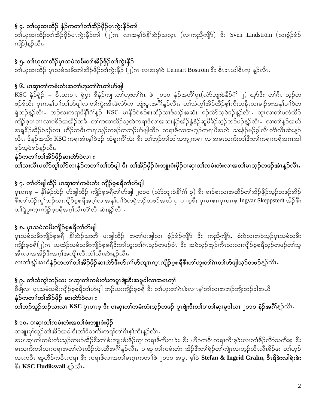## § ၄. တၢ်ယုထၢထိဉ် နံဉ်ကတၢၢ်တၢ်အိဉ်ဖိုဉ်ပုၤကွဲးနိဉ်တ၊်

တၢ်ယုထၢထိဉ်တၢ်အိဉ်ဖှိဉ်ပှၤကွဲးနိဉ်တၢ် (၂)ဂၤ လၢအမ့ၢ်ဝဲနိၢ်အဲဉ်သူလ္ၤ (လၢကညီကျိ5) အိိး Sven Lindström (လၢစွံဉ်ဒံဉ် ကျိ5်)နူဉ်လီၤ.

# § ၅. တၢိဃုထၢထိဉ်ပုၤသမံသမိးတၢ်အိဉ်ဖိုဉ်တၢ်ကွဲးနိဉ်

တိယုထ၊ထိဉ် ပုၤသမံသမိးတၢ်အိဉ်ဖိုဉ်တ၊်ကွဲးနီဉ် (၂)ဂၤ လ၊အမ့ၢ်ဝဲ Lennart Boström ဒီး စီၤဒၤယါစိၤကူ နူဉ်လီၤ

#### § ၆. ပၢဆု၊တၢ်ကမံးတံးအတၢ်ဟူးတၢ်ဂဲၤတၢ်ဟ်ဖျါ

KSC နဲဉ်ရဲ့ဉ် – စီၤထးစၢၤ ရှဲပွး ဒီနံဉ်ကျၤတၢ်ဟူးတၢ်ဂဲၤ ဖဲ ၂၀၁၀ နံဉ်အတိၢ်ပူၤ(လံာ်ဘျးစဲနိဉ်ဂံ၊် ၂) ယုဉ်ဒီး တၢ်ဂိၤ သ့ဉ်တ ဖဉ်ဒ်သိး ပုၤကနၢ်ပၢါတၢ်ဟ်ဖျါလ၊တၢ်ကွဲးအီၤဖဲလံာ်က ဘျံးပူၤအဂ်ိၢန့ဉ်လီၤႉ တၢ်သံကွၢ်အိဉ်ထိဉ်စ့ၢ်ကီးတနီၤလ၊ခၢဉ်စးအန၊်ပၢါဝဲတ ရဲဘဉ်နဉ်လီၤႉ ဘဉ်ယးကရၢဖိနိၢိဂၢိန္ဉ**် KSC မၤနိ**ဉ်ဝဲဒဉ်စးထိဉ်လၢဖိသဉ်အဆံး ဒဉ်လဲာ်သဲ့ဝဲဒဉ်နဉ်လီၤႉ တုၤလၢတၢ်ပတံထိဉ် ကျိဉ်စုမၤစၢၤလၢပ<sup>ဒ္ဌ</sup>ဉ်အအိဉ်တခ်ီ တၢ်ကထၢထိဉ်သ့ထဲကရၢဖိလၢအသးနံဉ်အိဉ်နွံနံဉ်ဆူဖိခိဉ်သူဉ်တဉ်ဖဉ်နူဉ်လီၤႉ လၢတၢ်နူဉ်အယိ အရှ<sup>ငွှ</sup>ဉ်အိဉ်ဝဲဒဉ်လ၊ ဟိဉ်ကဝီၤကရၢသ့ဉ်တဖဉ်ကဘဉ်ဟ်ဖျါထိဉ် ကရၢဖိလၢအဟ့ဉ်ကရၢဖိအလဲ သးနံဉ်မုဉ်ခွါလီၤတံၤ်လီၤဆဲးန့ဉ် လီၤႉ ဒ်န္5်အသိး KSC ကရၢအံၤမ့္ပ်၀ဲဒုဉ် ထံရူးကိၢ်သဲး ဒီး တၢ်ဘူဉ်တၢ်ဘါသဘျ့ကရၢ လၢအမၤသကိးတၢ်ဒီးတၢ်ကရၢကရိအဂၤအါ နဉ်သွဲဝအုန်ခိုလီး.

နံဉ်ကတၢၢ်တၢ်အိဉ်ဖိုဉ်ဆၢတ်ာ်ဝဲလၢ း တ်ာသးလီၤပလိ>်တူ၊်လိ>်လၢနံဉ်ကတၢၢ်တၢ်ဟ်ဖျါ ဒီး တၢ်အိဉ်ဖှိဉ်စံးဘျုးစံးဖှိဉ်ပၢဆှၢတၢ်ကမံးတံးလၢအတၢ်မၤသ့ဉ်တဖဉ်အံၤန္ဉဝလီၤ.

## § ၇. တၢိဟ်ဖျါထိဉ် ပၢဆု၊တၢ်ကမံးတံး ကျိဉ်စ့စရိတၢ်ဟ်ဖျါ

ပှၤပၢၤစ္ – နိ1်မံဉ်သဲဉ် ဟ်ဖျါထိဉ် ကျိဉ်စ့စရိတၢ်ဟ်ဖျါ ၂၀၁၀ (လံာ်ဘျးစဲနိ1်ဂံ) ၃) ဒီး ခၢဉ်စးလၢအထိဉ်တၢ်အိဉ်ဖှိဉ်သှဉ်တဖဉ်အိဉ် ီးတၢ်သံဉ်ကွၢ်ဘဉ်ယးကျိဉ်စုစရီအဂ္ဂါလၢအနှၤ်ပၢါဝဲတရဲဘဉ်တဖဉ်အယိ ပုၤပၢၤစ္နီး ပုၤမၤစၢၤပုၤပၢၤစ္ Ingvar Skeppstedt အိဉ်နီး တၢ်ရဲပူးက္ၤကျိဉ်စ္စစရိအဂ္ဂါလီၤတံၤလီၤဆဲးန္ဉာလီၤႉ

## § ၈. ပုၤသမံသမိးကျိဉ်စ့စရိတၢ်ဟ်ဖျါ

ပှၤသမံသမိးကျိဉ်စ့စရိ နိ<sup>ု</sup>အဲဉ်သးတိ ဖးဖျါထိဉ် အတၢ်ဖးဖျါလၢ စွံဉ်ဒံဉ်ကျိာ <sup>ဒွိ</sup>း ကညီကျိ5်, စံးဝဲလၢအဝဲသ့ဉ်ပှၤသမံသမိး .<br>ကျိဉ်စ့စရီ(၂)ဂၤ ယုထံဉ်သမံသမိးကျိဉ်စ့စရီဒီးတ၊်ဟူးတ၊်ဂၤသ့ဉ်တဖဉ်ဝံၤ ဒီး အဝဲသ့ဉ်အုဉ်ကီၤသးလၢကျိဉ်စ့စရီသ့ဉ်တဖဉ်တ၊်သူ <u>အီၤလၢအအိ</u>ဉ်ဒီးအဂ္ဂါအကျိၤလီၤတံၤလိၤဆဲးနူဉ်လီၤ.

လၢတၢ်န္ဉာ်အယိ**နံဉ်ကတၢၢ်တၢ်အိဉ်ဖှိဉ်ဆ၊တဲာ်ဒီးဟ်ဂၢၢ်ဟ်ကျၤက္ၤကျိဉ်စ့စရီဒီးတ၊်ဟူးတၢ်ဂၤတ၊်ဟ်ဖျါသ့ဉ်တဖဉ်**နှဉ်လီၤႉ

#### နဲ ၉. တၢ်သံကွၢ်ဘဉ်ဃး ပၢဆု၊တၢ်ကမံးတံးကပူၤဖျံးဒီးအမူဒါလၢအမၤတ္၊်

ခီဖိျလ၊ ပှၤသမံသမိးကျိဉ်စ့စရိတၢ်ဟ်ဖျါ ဘဉ်ဃးကျိဉ်စ့စရီ <sup>ဒွိ</sup>း တ၊်ဟူးတၢ်ဂဲၤခဲလၢၤမ့ၢ်တၢ်လၢအဘဉ်ဘျိးဘဉ်ဒါအယိ နံဉ်ကတၢၢ်တၢ်အိဉ်ဖှိဉ် ဆၢတ်ာ်ဝဲလ<mark>၊</mark> **း** .<br>တၢဴဘဉ်သူဉ်ဘဉ်သးလၢ KSC ပှၤပၢၤစ့ ဒီး ပၢဆု၊တၢ်ကမံးတံးသ္ဉ်တဖဉ် ပူၤဖျံးဒီးတၢ်ပၢတၢ်ဆု၊မူဒါလ၊ ၂၀၁၀ နံဉ်အဂ်ိၢိ<sub>န္</sub>ဉ်လီၤ.

### § ၁၀**.** ပၢဆု၊တၢ်ကမံးတံးအတၢ်စံးဘျုးစံးဖှိဉ်

တချုးမှၢ်ထူဉ်တၢ်အီဉ်အခါဒီးတၢ်ဒိသကိႏကၡု၊်တ၊်ဂီၤစ္န၊်ကီးန္ဉ်လီၤႉ အပၢဆု၊တၢ်ကမံးတံးသူဉ်တဖဉ်အိဉ်ဒီးတၢ်စံးဘျုးစံးဖိုဉ်က္ၤကရၢဖိကိႏဂၤဒဲး ဒီး ဟိဉ်ကဝိၤကရၢကိႈဖုဒဲးလၢတၢ်ဖိဉ်လိာသကိႏစု ဒီး မၤသကိႏတၢ်လၢကရၢအတၢ်လဲၤထိဉ်လဲၤထိအင်္ဂါန္ဉ်လီၤႉ ပၢဆု၊တၢ်ကမံးတံး အိဉ်ဒီးတၢ်ရဲဉ်တၢ်ကျဲၤလၢဟ့ဉ်လီၤလီၤခိဉ်ဖး တၢ်ဟ့ဉ် လၤကပိၤ ဆူဟိဉ်ကဝိၤကရၢ ဒီး ကရၢဖိလၢအတၢ်မၤဂ္ၤကတၢၢ်ဖဲ ၂၀၁၀ အပူၤ မ့ၢ်ဝဲ **Stefan & Ingrid Grahn, စီၤရိစဲးလါရဲးစဲး** းိ KSC Hudiksvall နူဉ်လီၤ.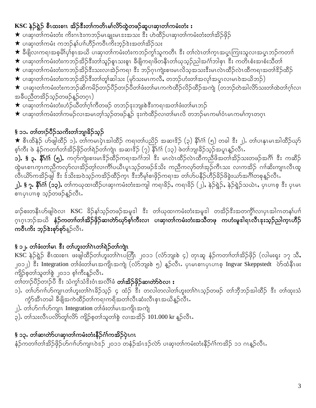## KSC နဲ့ဉ်ရဲ့ဉ် စီၤထးစၢၤ အိဉ်ဒီးတၢ်ကတိၤမၢ်လိ်ာထွဲတဖဉ်ဆူပၢဆု၊တၢ်ကမံးတံး း

- ★ ပၢဆု၊တၢ်ကမံးတံး ကိႏဂၤဒဲးကဘဉ်မၤချုးမၤၖးအသး ဒီး ဟဲထိဉ်ပၢဆု၊တၢ်ကမံးတံးတၢ်အိဉ်ဖိုဉ်
- $\bigstar$  ပၢဆု၊တၢ်ကမံး ကဘဉ်နၢ်ပၢၢ်ဟိဉ်ကဝိၤကိးဘ့ဉ် $\mathrm{\hat{a}}$ းအတၢ်အိဉ်သး
- ★ ခ်ီဖျိလၢကရၢအစ္ဓမိၢိပုၢ်စုၤအယိ ပၢဆုၢတၢ်ကမံးတံးကဘဉ်ကွၢ်သူကတိၤ ဒီး တၢ်လဲၤတၢ်က္ၤအပူၤကြၢးသူလၢအပူၤဘဉ်ကတၢၢ်
- $\bigstar$  ပၢဆု၊တၢ်ကမံးတံးကဘဉ်အိဉ်ဒီးတၢ်သူဉ်စူၤသးစူၤ ခီဖျိကရၢဖိတနိၤတၢ်ယုသ္ဉ်ညါအင်္ဂါဘါစုၤ ဒီး ကတိၤစံးအၢစံးသိတၢ်
- ★ ပၢဆု၊တၢ်ကမံးတံးကဘဉ်အိဉ်ဒီးသးလၢအဲ့ဉ်ကရၢ ဒီး ဘဉ်ဂုၤကျဲးစၢးမၤလိသ့အသးဒီးမၤလဲၤထိဉ်လဲၤထိကရၢအတၢ်ဒိဉ်ထိဉ်
- $\bigstar$  ပၢဆု၊တၢ်ကမံးတံးကဘဉ်အိဉ်ဒီးတၢ်တူ၊်ဆါသး (မှာ်သးမၤကလိႆႇ တဘဉ်ဟံးတၢ်အလှၢ်အပူၤလၢမၤဝဲအယိဘဉ်)
- $\bigstar$  ပၢဆု၊တၢ်ကမံးတံးကဘဉ်ဆိကမိဉ်တၢဉ်ပိဉ်တၢဉ်ပိတၢ်ဖံးတ၊်မၤကကဲထိဉ်လိဉ်ထိဉ်အကျဲ (တဘဉ်တဲအါလိ $\mathcal S$ သးတၢ်ထဲတၢ်ဂ္၊်လၢ အခ်ီပညီတအိဉ်သူဉ်တဖဉ်နူဉ်တဂူၤ)
- $\bigstar$  ပၢဆု၊တၢ်ကမံးတံးဟံဉ်ယိတၢ်ဂ့ၢ်ကိတဖဉ် တဘဉ်ဒုးဘျးစဲဒီးကရၢအတၢ်ဖံးတ၊်မၤဘဉ်
- $\bigstar$  ပၢဆု၊တၢ်ကမံးတၢ်ကမဉ်လၢအမၤတ္၊်သ့ဉ်တဖဉ်န့ဉ် ဒုးကဲထိဉ်လၢတ၊်မၤလိ တဘဉ်မၤကမၢ်ံ၀ၤမၤကမၢ်က္ၤတဂုၤ

## § ၁၁**.** တၢ်တၢဉ်ပီဉ်သကိႏတၢ်ဘျ၊ခိဉ်သူဉ်

★ စီၤထိနဲဉ် ဟ်ဖျါထိဉ် ၁). တၢ်ကမၤပှဲၤအါထိဉ် ကရၢတၢ်ပညိဉ် အဆၢ $^2$ ဉ် (၃) နိ $^1$ ဂံၢ် (၅) တခါ  $^3$ း ၂). တၢ်ပၢနုၤမၤအါထိဉ်ယုဉ် စ့ၢ်ကီး ဖဲ နံဉ်ကတၢၢ်တၢ်အိဉ်ဖိုဉ်တၢ်ရဲဉ်တ၊်ကျဲၤ အဆၢ $^2$ ဉ် (၇) နိ $^1$ ဂံၢ် (၁၃) ဖဲတၢ်ဘျ၊ခိဉ်သ့ဉ်အပူၤန္ဉာ်လီၤ $\cdot$ 

**၁). § ၃. နိၢိဂၢ် (၅).** ကက်ကျဲးစၢးမၤဒိဉ်ထိဉ်ကရၢအင်္ဂါဘါ ဒီး မၤလဲၤထိဉ်လဲၤထိကညီဖိအတၢ်အိဉ်သးတဖဉ်အဂိၢ် ဒီး ကဆိဉ် ထွဲမၤစၢၤက္ၤကညီကလုာ်လၢအိဉ်တ့ၢ်လၢကိၢိပယိၤပူၤသ့ဉ်တဖဉ်ဒ်သိး ကညီကလုာ်တၢ်အုဉ်ကီၤသး လၢကအိဉ် ဂၢၢ်ဆိးကျၤလီၤထူ လီၤယိ>်ကအိဉ်ဖျါ ဒီး ဒ်သိးအဝဲသ့ဉ်ကအိဉ်ထိဉ်က္ၤ ဒီးဘီမှၢ်စၢဖိုဉ်ကရၢအ တၢဴဟ်ပနီဉ်ဟိဉ်ခိဉ်ဖိခွဲးယာ်အင်္ဂါတစုန္ဉာလီၤႉ

<mark>၂). § ၇. နိ1်ဂံ1် (၁၃).</mark> တၢ်ကၰထၢထိဉ်ပၢဆုၢကမံးတံးအကျါ ကရၢခိဉ်, ကရၢခိဉ် (၂), နဲ့ဉ်ရွဲဉ်, နဲ့ဉ်ရွဲဉ်သယဲၤ, ပုၤပၢၤစ္ ဒီး ပုၤမၤ စၢၤပုၤပၢၤစ္ သ့ဉ်တဖဉ်န္နဉ်လီၤ.

ခၢဉ်စးတနီၤဟ်ဖျါဝဲလၢ KSC ခိဉ်န1်သ့ဉ်တဖဉ်အမူဒါ ဒီး တၤ်ယုထၢကမံးတံးအမူဒါ တအိဉ်ဒီးအတကွိၢ်လၢပှၤအါဂၤတနၤ်ပၢါ ဂ့ၤဂ္ၤဘဉ်အယိ <mark>နံဉ်ကတၢၢ်တၢ်အိဉ်ဖိုဉ်ဆ၊တဲာ်ယှာ်စ့၊်က</mark>ီးလ၊ ပ<mark>၊ဆု၊တၢ်ကမံးတံးအသိတဖု ကဟံးမှုဒါရၤလီၤဒုးသုဉ်ညါက္ၤဟိဉ်</mark> ကဝီၤကိဴး ဘ့ဉ်ဒဲးစုာ်စုာ်<sub>န</sub>ှ်လီၤ.

# 

KSC နဲ့ဉ်ရဲ့ဉ် စီၤထးစၤၤ ဖးဖျါထိဉ်တၤ်ဟူးတၤ်ဂၤပတြီၤ ၂၀၁၁ (လံာ်ဘျးစဲ ၄) တုၤဆူ နံဉ်ကတၢၤ်တၤ်အိဉ်ဖိုဉ် (လါမးရုး ၁၇ သိ, ၂၀၁၂) ီး Integration တၢိဖံးတၢ်မၤအကျိၤအကျဲ (လံာ်ဘျးစဲ ၅) နူဉ်လီၤ. ပှၤမၤစၢၤပှၤပၢၤစ့ Ingvar Skeppstedt ပဲာ်ထံနီၤဖး ကျိဉ်စ့တၢ်သူတၢ်စွဲ ၂၀၁၁ စ့ၢ်ကီးနူဉ်လီၤႉ

တၢ်တၢဉ်ပိဉ်တၢဉ်ပိ ဒီး သံကွၢ်သံဒိးဝံၤအလိၢ်ခံ **တၢ်အိဉ်ဖိုဉ်ဆၢတ်ာ်ဝဲလၢ း** 

- ၁). တၢ်ဟ်ဂၢၢ်ဟ်ကျၤတၢ်ဟူးတၢ်ဂဲၤခိဉ်သ့ဉ် ၄ ထံဉ် ဒီး တလါတလါတ၊်ဟူးတၢ်ဂဲၤသ့ဉ်တဖဉ် တၢ်ဘိုဘဉ်အါထိဉ် ဒီး တ၊်ထုးသံ ကွဲာ်အီၤတခါ ခ်ီဖျိအကဲထိဉ်တၢ်ကရၢကရိအတၢ်လီၤဆံးလီၤစုၤအယိန္ဉာ်လီၤႉ
- ၂). တၢိယ်ဂၢၢိယ်ကျ၊ၤ Integration တၢိဖံးတၢ်မၤအကျိုးအကျဲ
- ၃). တၢ်သးလီၤပလိ>်တူ၊်လိ>် ကျိဉ်စ့တၢ်သူတၢ်စွဲ လၢအအိဉ် 101.000 kr နူဉ်လီၤ.

# § ၁၃. တါဆ၊တဲာ်ပၢဆု၊တါကမံးတံးနိဉ်ဂံ၊်ကအိဉ်ပုံၤဂၤ

နံဉ်ကတၢါတါအိဉ်ဖိုဉ်ဟ်ဂၢါဟ်ကျ၊ၤ၀ဲဒဉ် ၂၀၁၁ တနံဉ်အံၤဒဉ်လဲာ် ပၢဆု၊တၢ်ကမံးတံးနိဉ်ဂံၢ်ကအိဉ် ၁၁ ဂၤန္ဉာ်လီၤႉ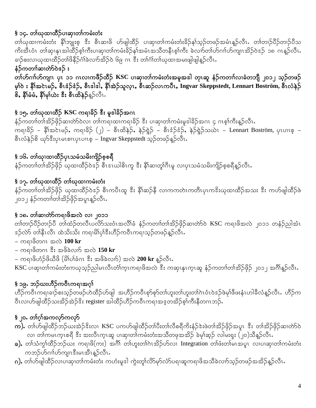# § ၁၄. တၢိဃုထၢထိဉ်ပၢဆု၊တၢ်ကမံးတံး

တၢိယုထၢကမံးတံး နိ1်ဘျုးစု ဒီး စီၤဆၢဖိ ဟ်ဖျါထိဉ် ပၢဆု၊တၢ်ကမံးတံးခိဉ်န1်သူဉ်တဖဉ်အမံၤန္ဉာလီၤ တၢ်တၢဉ်ပိဉ်တၢဉ်ပိသ ကိးအီၤဝံၤ တါဆု၊နုၤအါထိဉ်စ့ါကီးပၢဆု၊တါကမံးခိဉ်နှါအမံၤအသိတနိၤစ့ါကီး ခဲလၢာ်တါဟ်ဂၢါဟ်ကျၤအိဉ်ဝဲဒဉ် ၁၈ ဂၤန္ဉာလီၤႉ ခၢဉ်စးလၢဃုထၢထိဉ်တၢိဖိနိဉ်ငံ္ဂါခဲလၢာ်အိဉ်ဝဲ ၆၉ ဂၤ ဒီး တၢဴဂၢႆတၢဴဃုထၢအမႈဖျါဖျါန္ဉာလီၤႉ

## နံဉ်ကတၢါဆၢတဲာ်ဝဲဒဉ် း

တၢိဟ်ဂၢၢ်ဟ်ကျၤ ပှၤာ၁ ဂၤလၢကဖိဉ်ထိဉ် KSC ပၢဆု၊တၢ်ကမံးတံးအမူအဒါ တုၤဆူ နံဉ်ကတၢၢ်လၢခံတဘျီ ၂၀၁၂ သ့ဉ်တဖဉ် မ့္ပ်ား နိုးအင်ၤမဉ်, စီးဒံဉ်ဒံဉ်, စီးဒါဒါ, နိုးအဲဉ်သူလူး, စီးဆဉ်လၤကပီး, Ingvar Skeppstedt, Lennart Boström, စီးလံနဉ် စိ, နိ1်မံမံ, နိ1်မှ1်ယဲး ဒီး စီၤထိနဉ်န့ဉ်လီၤ.

# § ၁၅. တါယုထ၊ထိဉ် KSC ကရၢခိဉ် &ီး မူဒါခိဉ်အဂၤ

နံဉ်ကတၢါတါအိဉ်ဖှိဉ်ဆ၊တဲာ်ဝဲလ၊ တါကရ၊ထ၊ကရ၊ခိဉ် ဒီး ပ၊ဆု၊တါကမံးမူဒါခိဉ်အဂၤ ၄ ဂၤစ့ါကီးန့ဉ်လီၤ. ကရၢခိဉ် – နို $\infty$ င်းမဉ်, ကရၢခိဉ် (၂) – စီးထိနဲဉ်, နဲဉ်ရွဲဉ် – စီးဒံဉ်ဒံဉ်, နဲဉ်ရွဲဉ်သယဲၤ – Lennart Boström, ပုၤပၢၤစ့ – စီးလံနဲ့ဉ်စိ ယှာ်ဒီးပုၤမၤစၢၤပုၤပၢၤစ့ – Ingvar Skeppstedt သုဉ်တဖဉ်နူဉ်လီး.

# § ၁၆. တၢ်ဃု၊ထၢထိဉ်ပုၤသမံသမိးကျိဉ်စ့စရီ

နံဉ်ကတၢၢ်တၢ်အိဉ်ဖိုဉ် ယုထ၊ထိဉ်ဝဲဒဉ် စီၤဒၤယါစိၤကူ ဒီး နိံၢိဆ၊တူ၊်ဂီၤမူ လ၊ပှၤသမံသမိးကျိဉ်စ့စရီနူဉ်လီၤ.

## § ၁၇. တၢိဃုထၢထိဉ် တၢိဃုထၢကမံးတံး

နံဉ်ကတၢါတါအိဉ်ဖိုဉ် ယုထ၊ထိဉ်ဝဲဒဉ် စီၤကပီၤထူ ဒီး နိ1်ဆဉ်နီ လၢကကတဲၤကတိၤပုၤကဒိးယုထ၊ထိဉ်အသး ဒီး ကဟ်ဖျါထိဉ်ဖဲ ၂၀၁၂ နံဉ်ကတၢါတါအိဉ်ဖိုဉ်အပူၤန္နဉ်လီၤႉ

#### § ၁၈. တၢ်ဆၢတဲာ်ကရၢဖိအလဲ လၢ ၂၀၁၁

တၢ်တၢဉ်ပိဉ်တၢဉ်ပိ တၢ်ထံဉ်တလီၤပလိ်ာသးဝံၤအလိၢ်ခံ နံဉ်ကတၢၢ်တၢ်အိဉ်ဖှိဉ်ဆၢတ်ာ်ဝဲ KSC ကရၢဖိအလဲ ၂၀၁၁ တနံဉ်ညါအံၤ အု်လဲာ် တၢိနီၤလီၤ ထဲသိးသိး ကရၢမိၢ်ပုၢိဒီးဟိဉ်ကဝီၤကရၢသူဉ်တဖဉ်နူဉ်လီၤႉ

- ကရၢဖိတဂၤ အလဲ  $100 \text{ kr}$
- ကရၢဖိတဂၤ ီး အဖိခဲလၢာ် အလဲ  $150 \text{ kr}$
- ကရၢဖိဟံဉ်ဖိယီဖိ (မိ၊်ပါခံဂၤ ဒီး အဖိခဲလၢာ်) အလဲ 200 kr န္ဉာ်လီၤ.

KSC ပၢဆု၊တၢ်ကမံးတံးကယုသ့ဉ်ညါမၤလီၤတံၢ်က္ၤကရၢဖိအလဲ ဒီး ကဆု၊နုၤက္ၤဆူ နံဉ်ကတၢၢ်တၢ်အိဉ်ဖှိဉ် ၂၀၁၂ အင်္ဂါန္ဉာ်လီၤႉ

# § ၁၉. ဘဉ်ဃးဟိႆဉ်ကဝီၤကရၢအဂ္ဂါ

ဟိဉ်ကဝိၤကရၢခၢဉ်စးသ့ဉ်တဖဉ်ဟဲထိဉ်ဟ်ဖျါ အဟိဉ်ကဝိၤစုာ်စုာ်တ၊်ဟူးတ၊်ဟူးတ၊်ဂဲၤဝံၤဝဲဒဉ်ဖဲမှၢ်ဖီဖးနှံၤဟါခီလံန့ဉ်လီၤႉ ဟိဉ်က ဝီၤလ၊ဟ်ဖျါထိဉ်သးအိဉ်အဲဉ် $\frac{2}{3}$ း register အါထိဉ်ဟိဉ်ကဝီၤကရၢအဒ္ဓတအိဉ်စ့ၢ်ကီးနီတဂၤဘဉ်.

# §၂၀. တၢဴဂ့ၢ်အကလုာ်ကလုာ်

- **က).** တၢဴဟ်ဖျါထိဉ်ဘဉ်ယးအဲဉ်<sup>ဒွ</sup>းလၢ KSC ပကဟ်ဖျါထိဉ်တၢ်ပီးတၢ်လီစရီကိႏနံဉ်ဒဲးဖဲတၢ်အိဉ်ဖိုဉ်အပူၤ ဒီး တၢ်အိဉ်ဖိုဉ်ဆၢတ်ာ်ဝဲ လ၊ တၢ်ကမၤက္ၤစရီ ဒီး အးလီၤက္ၤဆူ ပၢဆု၊တၢ်ကမံးတံးအသိတဖုအအိဉ် ခဲမု၊်ဆ္ဉ် လါမးရုး (၂၀)သိန္ဉာ်လီၤႉ
- ခ). တၢ်သံကွၢ်ထိဉ်ဘဉ်ဃး ကရၢဖိ(ကး) အဂိၢိ တၢ်ဟူးတၢ်ဂဲၤအိဉ်ဟ်လ၊ Integration တၢ်ဖံးတ၊်မၤအပူၤ လၢပၢဆု၊တၢ်ကမံးတံး ကဘဉ်ဟ်ဂၢၢ်ဟ်ကျၤၤဒီးမၤအီၤန္နဉ်လီၤႉ
- <mark>ဂ).</mark> တၢ်ဟ်ဖျါထိဉ်လ၊ပ၊ဆု၊တၢ်ကမံးတံး ကဟံးမူဒါ ကွဲးတူ၊်လိ>်မု>်လံာ်ပရ၊ဆူကရ၊ဖိအသိခဲလၢာ်သ့ဉ်တဖဉ်အအိဉ်န့ဉ်လီၤႉ